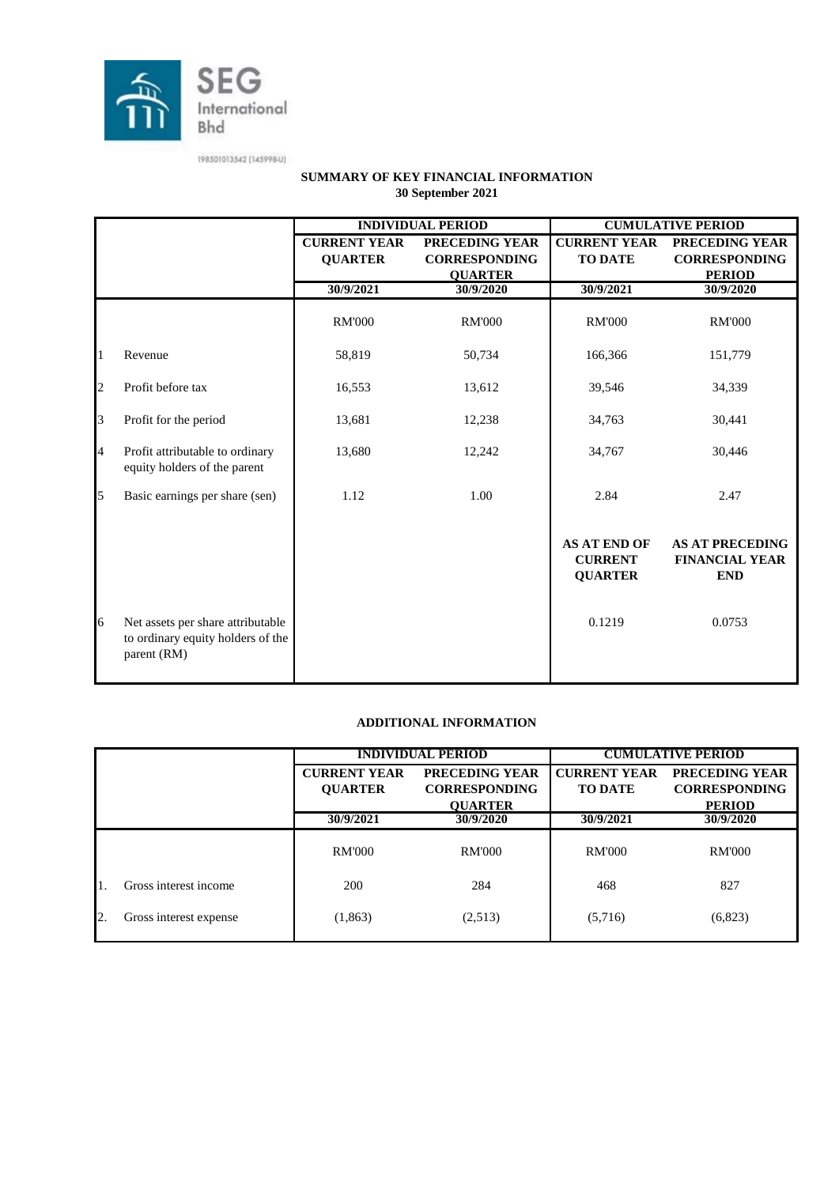

|                |                                                                                       |                                       | <b>INDIVIDUAL PERIOD</b>               |                                                         | <b>CUMULATIVE PERIOD</b>                                      |  |
|----------------|---------------------------------------------------------------------------------------|---------------------------------------|----------------------------------------|---------------------------------------------------------|---------------------------------------------------------------|--|
|                |                                                                                       | <b>CURRENT YEAR</b><br><b>QUARTER</b> | PRECEDING YEAR<br><b>CORRESPONDING</b> | <b>CURRENT YEAR</b><br><b>TO DATE</b>                   | PRECEDING YEAR<br><b>CORRESPONDING</b>                        |  |
|                |                                                                                       | 30/9/2021                             | <b>QUARTER</b><br>30/9/2020            | 30/9/2021                                               | <b>PERIOD</b><br>30/9/2020                                    |  |
|                |                                                                                       | <b>RM'000</b>                         | <b>RM'000</b>                          | <b>RM'000</b>                                           | <b>RM'000</b>                                                 |  |
| 1              | Revenue                                                                               | 58,819                                | 50,734                                 | 166,366                                                 | 151,779                                                       |  |
| $\overline{c}$ | Profit before tax                                                                     | 16,553                                | 13,612                                 | 39,546                                                  | 34,339                                                        |  |
| 3              | Profit for the period                                                                 | 13,681                                | 12,238                                 | 34,763                                                  | 30,441                                                        |  |
| 4              | Profit attributable to ordinary<br>equity holders of the parent                       | 13,680                                | 12,242                                 | 34,767                                                  | 30,446                                                        |  |
| 5              | Basic earnings per share (sen)                                                        | 1.12                                  | 1.00                                   | 2.84                                                    | 2.47                                                          |  |
|                |                                                                                       |                                       |                                        | <b>AS AT END OF</b><br><b>CURRENT</b><br><b>QUARTER</b> | <b>AS AT PRECEDING</b><br><b>FINANCIAL YEAR</b><br><b>END</b> |  |
| 6              | Net assets per share attributable<br>to ordinary equity holders of the<br>parent (RM) |                                       |                                        | 0.1219                                                  | 0.0753                                                        |  |

#### **SUMMARY OF KEY FINANCIAL INFORMATION 30 September 2021**

#### **ADDITIONAL INFORMATION**

|    |                        | <b>INDIVIDUAL PERIOD</b>               |                |                     | <b>CUMULATIVE PERIOD</b> |
|----|------------------------|----------------------------------------|----------------|---------------------|--------------------------|
|    |                        | PRECEDING YEAR<br><b>CURRENT YEAR</b>  |                | <b>CURRENT YEAR</b> | PRECEDING YEAR           |
|    |                        | <b>CORRESPONDING</b><br><b>QUARTER</b> |                | <b>TO DATE</b>      | <b>CORRESPONDING</b>     |
|    |                        |                                        | <b>OUARTER</b> |                     | <b>PERIOD</b>            |
|    |                        | 30/9/2021<br>30/9/2020                 |                | 30/9/2021           | 30/9/2020                |
|    |                        | <b>RM'000</b>                          | <b>RM'000</b>  | <b>RM'000</b>       | <b>RM'000</b>            |
|    | Gross interest income  | 200                                    | 284            | 468                 | 827                      |
| 2. | Gross interest expense | (1, 863)                               | (2,513)        | (5,716)             | (6,823)                  |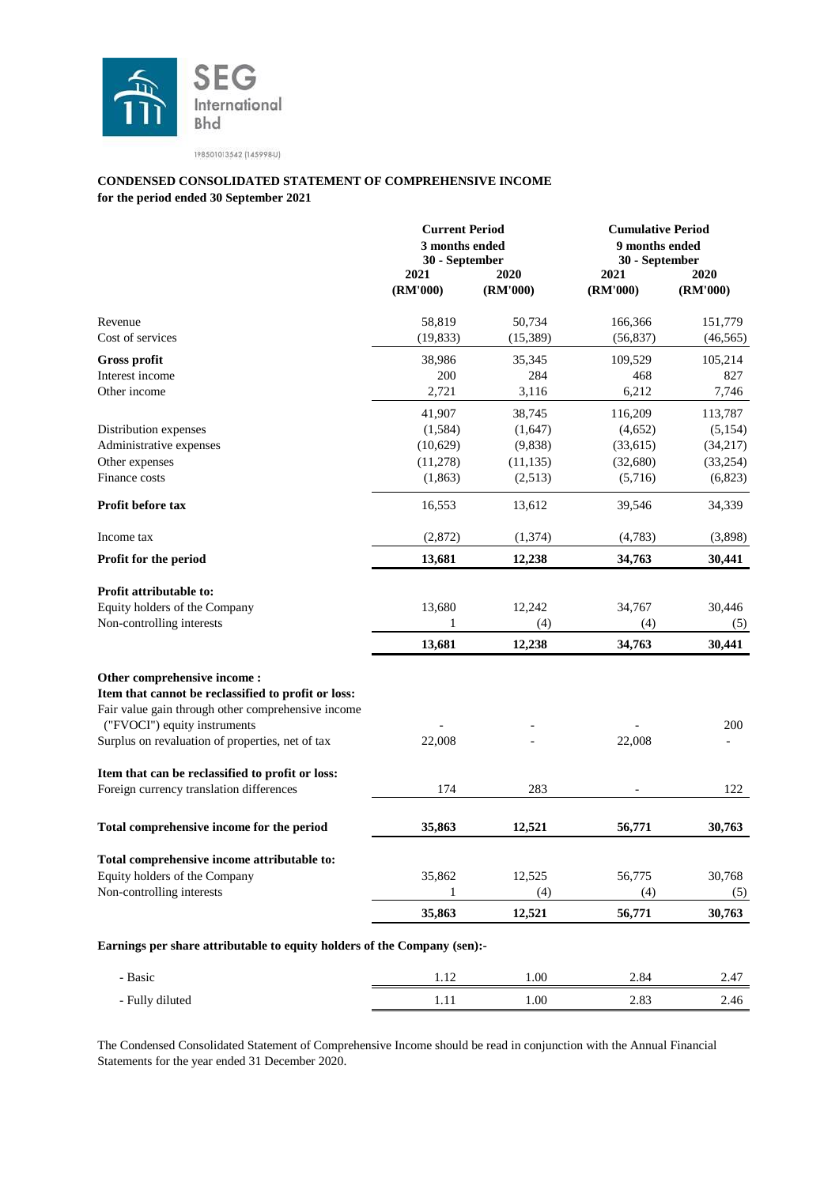

#### **for the period ended 30 September 2021 CONDENSED CONSOLIDATED STATEMENT OF COMPREHENSIVE INCOME**

|                                                                          |                  | <b>Current Period</b><br>3 months ended<br>30 - September |                  | <b>Cumulative Period</b><br>9 months ended<br>30 - September |  |
|--------------------------------------------------------------------------|------------------|-----------------------------------------------------------|------------------|--------------------------------------------------------------|--|
|                                                                          | 2021<br>(RM'000) | 2020<br>(RM'000)                                          | 2021<br>(RM'000) | 2020<br>(RM'000)                                             |  |
| Revenue                                                                  | 58,819           | 50,734                                                    | 166,366          | 151,779                                                      |  |
| Cost of services                                                         | (19, 833)        | (15, 389)                                                 | (56, 837)        | (46, 565)                                                    |  |
| <b>Gross profit</b>                                                      | 38,986           | 35,345                                                    | 109,529          | 105,214                                                      |  |
| Interest income                                                          | 200              | 284                                                       | 468              | 827                                                          |  |
| Other income                                                             | 2,721            | 3,116                                                     | 6,212            | 7,746                                                        |  |
|                                                                          | 41,907           | 38,745                                                    | 116,209          | 113,787                                                      |  |
| Distribution expenses                                                    | (1,584)          | (1,647)                                                   | (4,652)          | (5, 154)                                                     |  |
| Administrative expenses                                                  | (10,629)         | (9,838)                                                   | (33,615)         | (34, 217)                                                    |  |
| Other expenses                                                           | (11,278)         | (11, 135)                                                 | (32,680)         | (33,254)                                                     |  |
| Finance costs                                                            | (1,863)          | (2,513)                                                   | (5,716)          | (6,823)                                                      |  |
| Profit before tax                                                        | 16,553           | 13,612                                                    | 39,546           | 34,339                                                       |  |
| Income tax                                                               | (2,872)          | (1, 374)                                                  | (4,783)          | (3,898)                                                      |  |
| Profit for the period                                                    | 13,681           | 12,238                                                    | 34,763           | 30,441                                                       |  |
| Profit attributable to:                                                  |                  |                                                           |                  |                                                              |  |
| Equity holders of the Company                                            | 13,680           | 12,242                                                    | 34,767           | 30,446                                                       |  |
| Non-controlling interests                                                | 1                | (4)                                                       | (4)              | (5)                                                          |  |
|                                                                          | 13,681           | 12,238                                                    | 34,763           | 30,441                                                       |  |
| Other comprehensive income:                                              |                  |                                                           |                  |                                                              |  |
| Item that cannot be reclassified to profit or loss:                      |                  |                                                           |                  |                                                              |  |
| Fair value gain through other comprehensive income                       |                  |                                                           |                  |                                                              |  |
| ("FVOCI") equity instruments                                             |                  |                                                           |                  | 200                                                          |  |
| Surplus on revaluation of properties, net of tax                         | 22,008           |                                                           | 22,008           |                                                              |  |
| Item that can be reclassified to profit or loss:                         |                  |                                                           |                  |                                                              |  |
| Foreign currency translation differences                                 | 174              | 283                                                       |                  | 122                                                          |  |
| Total comprehensive income for the period                                | 35,863           | 12,521                                                    | 56,771           | 30,763                                                       |  |
| Total comprehensive income attributable to:                              |                  |                                                           |                  |                                                              |  |
| Equity holders of the Company                                            | 35,862           | 12,525                                                    | 56,775           | 30,768                                                       |  |
| Non-controlling interests                                                | 1                | (4)                                                       | (4)              | (5)                                                          |  |
|                                                                          | 35,863           | 12,521                                                    | 56,771           | 30,763                                                       |  |
| Earnings per share attributable to equity holders of the Company (sen):- |                  |                                                           |                  |                                                              |  |
| - Basic                                                                  | 1.12             | 1.00                                                      | 2.84             | 2.47                                                         |  |
|                                                                          |                  |                                                           |                  |                                                              |  |
| - Fully diluted                                                          | 1.11             | 1.00                                                      | 2.83             | 2.46                                                         |  |

The Condensed Consolidated Statement of Comprehensive Income should be read in conjunction with the Annual Financial Statements for the year ended 31 December 2020.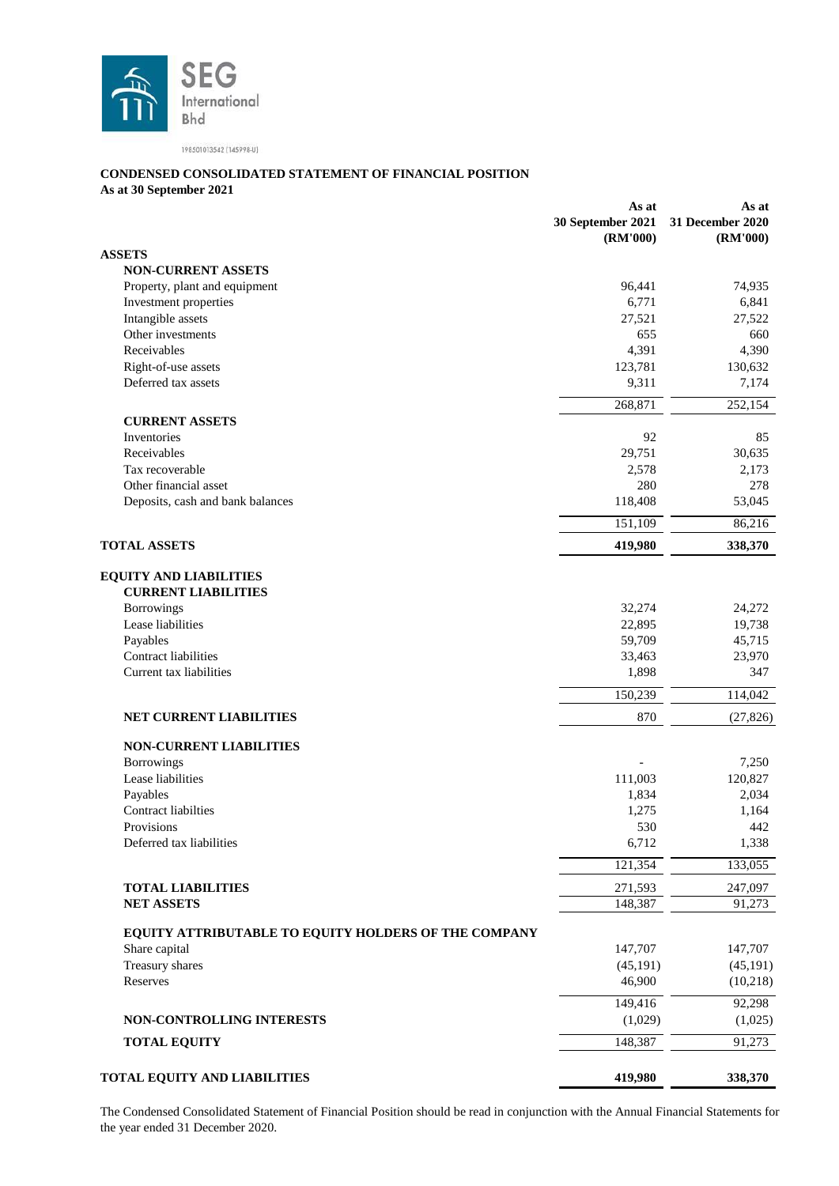

#### **CONDENSED CONSOLIDATED STATEMENT OF FINANCIAL POSITION**

**As at 30 September 2021**

|                                                             | As at<br>30 September 2021 | As at<br>31 December 2020 |
|-------------------------------------------------------------|----------------------------|---------------------------|
| <b>ASSETS</b>                                               | (RM'000)                   | (RM'000)                  |
| <b>NON-CURRENT ASSETS</b>                                   |                            |                           |
| Property, plant and equipment                               | 96,441                     | 74,935                    |
| Investment properties                                       | 6,771                      | 6,841                     |
| Intangible assets                                           | 27,521                     | 27,522                    |
| Other investments                                           | 655                        | 660                       |
| Receivables                                                 | 4,391                      | 4,390                     |
| Right-of-use assets                                         | 123,781                    | 130,632                   |
| Deferred tax assets                                         | 9,311                      | 7,174                     |
|                                                             | 268,871                    | 252,154                   |
| <b>CURRENT ASSETS</b>                                       |                            |                           |
| Inventories                                                 | 92                         | 85                        |
| Receivables                                                 | 29,751                     | 30,635                    |
| Tax recoverable                                             | 2,578                      | 2,173                     |
| Other financial asset                                       | 280                        | 278                       |
| Deposits, cash and bank balances                            | 118,408                    | 53,045                    |
|                                                             | 151,109                    | 86,216                    |
| <b>TOTAL ASSETS</b>                                         |                            |                           |
|                                                             | 419,980                    | 338,370                   |
| <b>EQUITY AND LIABILITIES</b><br><b>CURRENT LIABILITIES</b> |                            |                           |
| Borrowings                                                  | 32,274                     | 24,272                    |
| Lease liabilities                                           | 22,895                     | 19,738                    |
| Payables                                                    | 59,709                     | 45,715                    |
| Contract liabilities                                        | 33,463                     | 23,970                    |
| Current tax liabilities                                     | 1,898                      | 347                       |
|                                                             | 150,239                    | 114,042                   |
| NET CURRENT LIABILITIES                                     | 870                        | (27, 826)                 |
| <b>NON-CURRENT LIABILITIES</b>                              |                            |                           |
| <b>Borrowings</b>                                           |                            | 7,250                     |
| Lease liabilities                                           | 111,003                    | 120,827                   |
| Payables                                                    | 1,834                      | 2,034                     |
| <b>Contract liabilties</b>                                  | 1,275                      | 1,164                     |
| Provisions                                                  | 530                        | 442                       |
| Deferred tax liabilities                                    | 6,712                      | 1,338                     |
|                                                             | 121,354                    | 133,055                   |
| <b>TOTAL LIABILITIES</b>                                    | 271,593                    | 247,097                   |
| <b>NET ASSETS</b>                                           | 148,387                    | 91,273                    |
|                                                             |                            |                           |
| EQUITY ATTRIBUTABLE TO EQUITY HOLDERS OF THE COMPANY        |                            |                           |
| Share capital                                               | 147,707                    | 147,707                   |
| Treasury shares                                             | (45, 191)                  | (45, 191)                 |
| Reserves                                                    | 46,900                     | (10, 218)                 |
|                                                             | 149,416                    | 92,298                    |
| NON-CONTROLLING INTERESTS                                   | (1,029)                    | (1,025)                   |
| <b>TOTAL EQUITY</b>                                         | 148,387                    | 91,273                    |
| <b>TOTAL EQUITY AND LIABILITIES</b>                         | 419,980                    | 338,370                   |
|                                                             |                            |                           |

The Condensed Consolidated Statement of Financial Position should be read in conjunction with the Annual Financial Statements for the year ended 31 December 2020.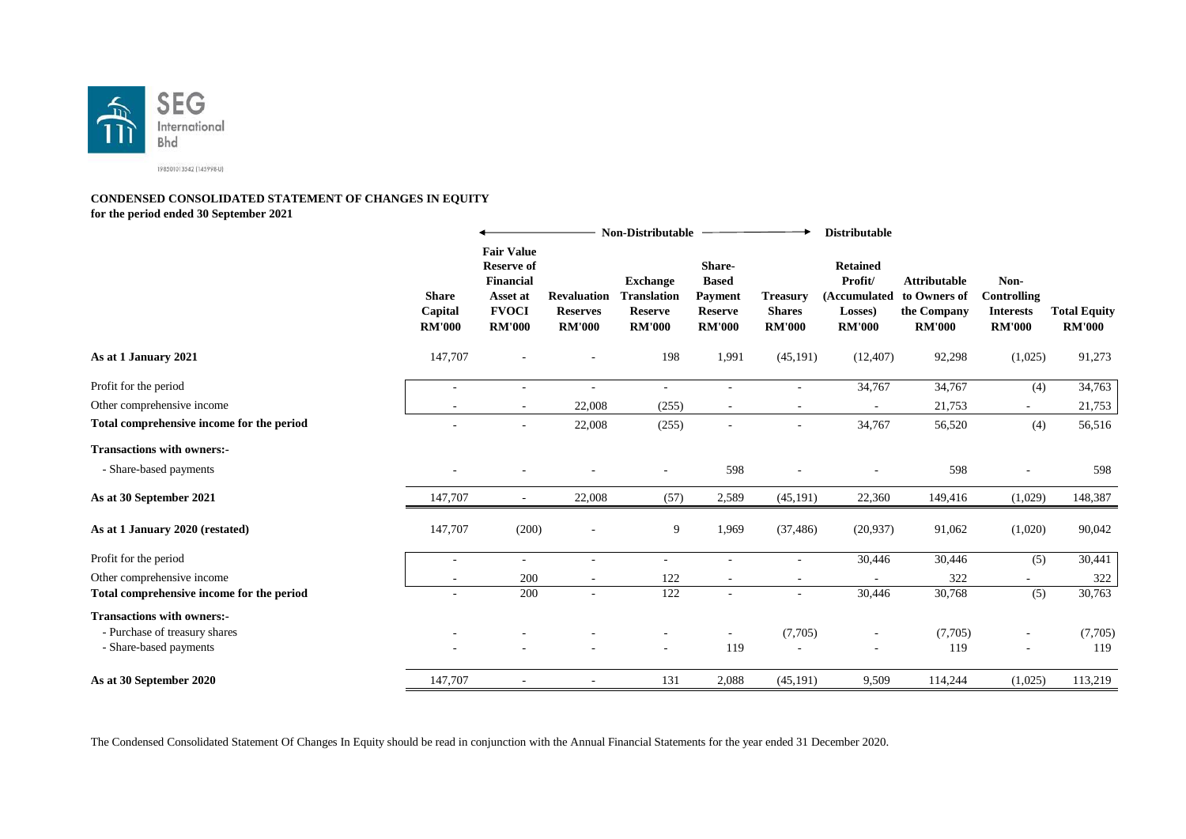

#### **CONDENSED CONSOLIDATED STATEMENT OF CHANGES IN EQUITY for the period ended 30 September 2021**

**Non-Distributable**  $\ddotmark$ **Distributable Fair Value Reserve of Share-Retained Financial Exchange Based Profit/ Attributable Non-Share Asset at Payment Treasury Controlling Revaluation Translation (Accumulated to Owners of Capital FVOCI Reserves Reserve Reserve Shares Losses) the Company Interests Total Equity RM'000 RM'000 RM'000 RM'000 RM'000 RM'000 RM'000 RM'000 RM'000 RM'000 As at 1 January 2021** 147,707 - - 198 1,991 (45,191) (12,407) 92,298 (1,025) 91,273 Profit for the period and the period and the set of the set of the set of the set of the period of the period of the set of the set of the set of the set of the set of the set of the set of the set of the set of the set of Other comprehensive income 21,753 - 21,753 - 21,753 - 21,753 - 21,753 - 21,753 - 21,753 - 21,753 - 21,753 - 21,753 - 21,753 - 21,753 - 21,753 - 21,753 - 21,753 - 21,753 - 21,753 - 21,753 - 21,753 - 21,753 - 21,753 - 21,753 **Total comprehensive income for the period**  $\qquad \qquad$   $\qquad \qquad$   $\qquad \qquad$  22,008 (255) -  $\qquad \qquad$  34,767 56,520 (4) 56,516 **Transactions with owners:-** - Share-based payments - - - - - - - - - - - - - 598 - - - - 598 - - - 598 - - - 598 - - - 598 - - - 598 - - - 598 - - - 598 - - - 598 - - - 598 - - - 598 - - - 598 - - - 598 - - - - 598 - - - - 598 - - - - - 598 - - - - -**As at 30 September 2021** 147,707 - 22,008 (57) 2,589 (45,191) 22,360 149,416 (1,029) 148,387 **As at 1 January 2020 (restated)** 147,707 (200) - 9 1,969 (37,486) (20,937) 91,062 (1,020) 90,042 Profit for the period and the set of the period and the set of the set of the set of the set of the set of the set of the set of the set of the set of the set of the set of the set of the set of the set of the set of the s Other comprehensive income and the comprehensive income and the state of the comprehensive income 322 - 322 - 322 **Total comprehensive income for the period CONF 4 200** - 122 - **122** - 30,446 30,768 (5) 30,763 **Transactions with owners:-** - Purchase of treasury shares - - - - - - - - - (7,705) - (7,705) - (7,705) - (7,705) - (7,705) - Share-based payments - - - - - - - - - - 119 - 119 - 119 - 119 - 119 **As at 30 September 2020** 147,707 - 113,219 113,219 113,219 113,219

The Condensed Consolidated Statement Of Changes In Equity should be read in conjunction with the Annual Financial Statements for the year ended 31 December 2020.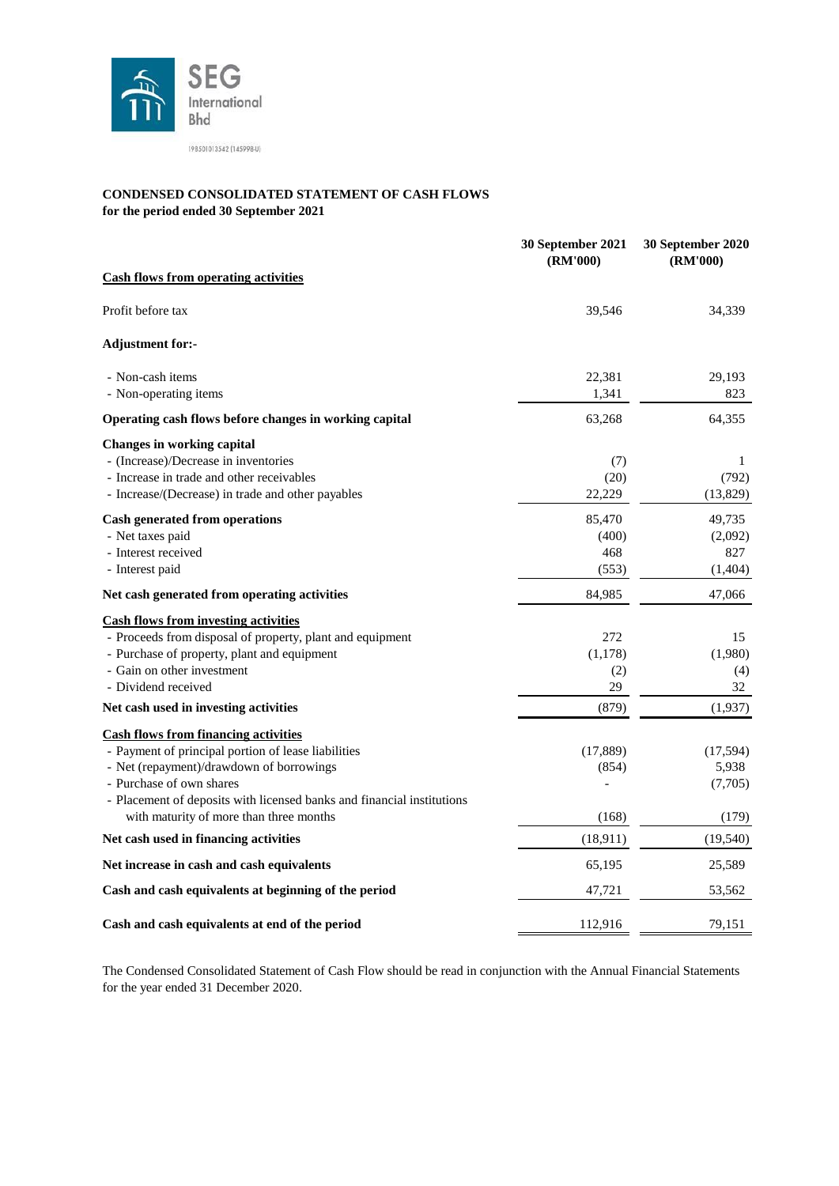

#### **CONDENSED CONSOLIDATED STATEMENT OF CASH FLOWS for the period ended 30 September 2021**

|                                                                        | 30 September 2021<br>(RM'000) | 30 September 2020<br>(RM'000) |
|------------------------------------------------------------------------|-------------------------------|-------------------------------|
| <b>Cash flows from operating activities</b>                            |                               |                               |
| Profit before tax                                                      | 39,546                        | 34,339                        |
| <b>Adjustment for:-</b>                                                |                               |                               |
| - Non-cash items                                                       | 22,381                        | 29,193                        |
| - Non-operating items                                                  | 1,341                         | 823                           |
| Operating cash flows before changes in working capital                 | 63,268                        | 64,355                        |
| <b>Changes in working capital</b>                                      |                               |                               |
| - (Increase)/Decrease in inventories                                   | (7)                           | 1                             |
| - Increase in trade and other receivables                              | (20)                          | (792)                         |
| - Increase/(Decrease) in trade and other payables                      | 22,229                        | (13,829)                      |
| <b>Cash generated from operations</b>                                  | 85,470                        | 49,735                        |
| - Net taxes paid                                                       | (400)                         | (2,092)                       |
| - Interest received                                                    | 468                           | 827                           |
| - Interest paid                                                        | (553)                         | (1,404)                       |
| Net cash generated from operating activities                           | 84,985                        | 47,066                        |
| <b>Cash flows from investing activities</b>                            |                               |                               |
| - Proceeds from disposal of property, plant and equipment              | 272                           | 15                            |
| - Purchase of property, plant and equipment                            | (1, 178)                      | (1,980)                       |
| - Gain on other investment                                             | (2)                           | (4)                           |
| - Dividend received                                                    | 29                            | 32                            |
| Net cash used in investing activities                                  | (879)                         | (1,937)                       |
| <b>Cash flows from financing activities</b>                            |                               |                               |
| - Payment of principal portion of lease liabilities                    | (17, 889)                     | (17, 594)                     |
| - Net (repayment)/drawdown of borrowings                               | (854)                         | 5,938                         |
| - Purchase of own shares                                               |                               | (7,705)                       |
| - Placement of deposits with licensed banks and financial institutions |                               |                               |
| with maturity of more than three months                                | (168)                         | (179)                         |
| Net cash used in financing activities                                  | (18, 911)                     | (19, 540)                     |
| Net increase in cash and cash equivalents                              | 65,195                        | 25,589                        |
| Cash and cash equivalents at beginning of the period                   | 47,721                        | 53,562                        |
| Cash and cash equivalents at end of the period                         | 112,916                       | 79,151                        |

The Condensed Consolidated Statement of Cash Flow should be read in conjunction with the Annual Financial Statements for the year ended 31 December 2020.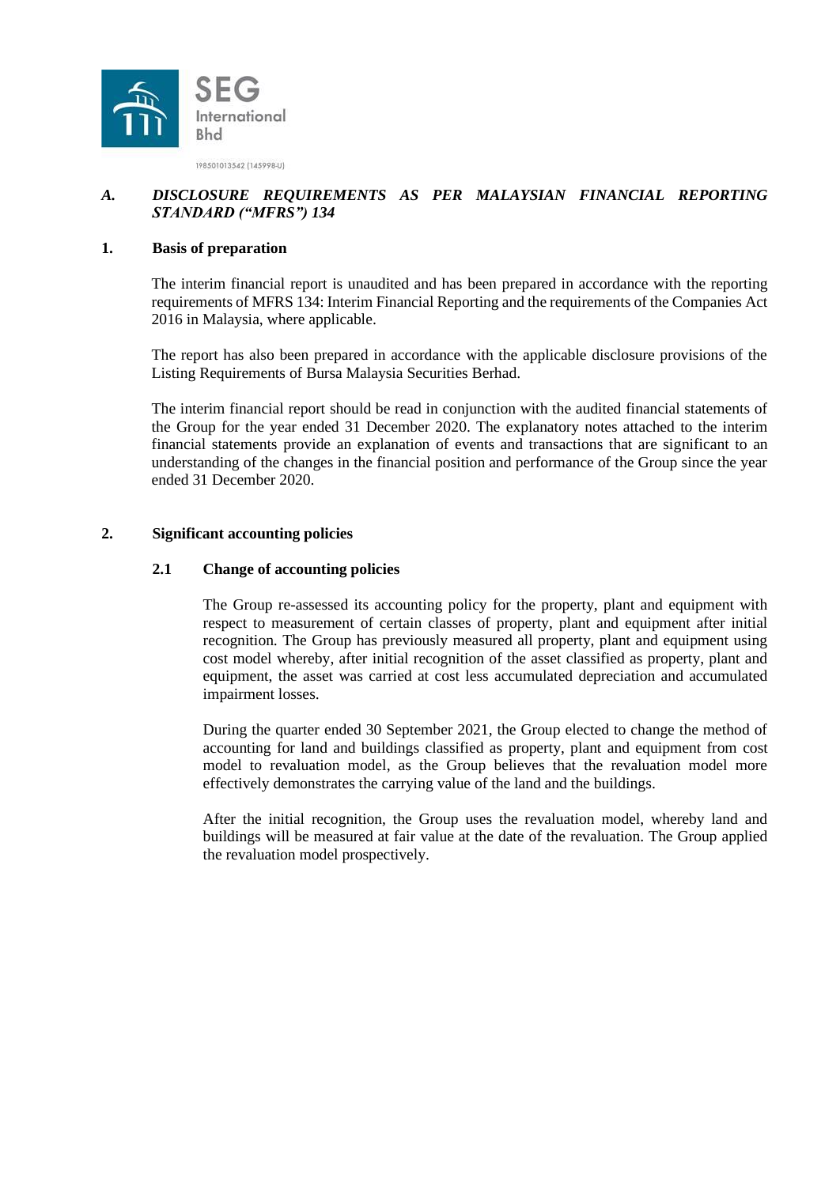

# *A. DISCLOSURE REQUIREMENTS AS PER MALAYSIAN FINANCIAL REPORTING STANDARD ("MFRS") 134*

#### **1. Basis of preparation**

The interim financial report is unaudited and has been prepared in accordance with the reporting requirements of MFRS 134: Interim Financial Reporting and the requirements of the Companies Act 2016 in Malaysia, where applicable.

The report has also been prepared in accordance with the applicable disclosure provisions of the Listing Requirements of Bursa Malaysia Securities Berhad.

The interim financial report should be read in conjunction with the audited financial statements of the Group for the year ended 31 December 2020. The explanatory notes attached to the interim financial statements provide an explanation of events and transactions that are significant to an understanding of the changes in the financial position and performance of the Group since the year ended 31 December 2020.

# **2. Significant accounting policies**

#### **2.1 Change of accounting policies**

The Group re-assessed its accounting policy for the property, plant and equipment with respect to measurement of certain classes of property, plant and equipment after initial recognition. The Group has previously measured all property, plant and equipment using cost model whereby, after initial recognition of the asset classified as property, plant and equipment, the asset was carried at cost less accumulated depreciation and accumulated impairment losses.

During the quarter ended 30 September 2021, the Group elected to change the method of accounting for land and buildings classified as property, plant and equipment from cost model to revaluation model, as the Group believes that the revaluation model more effectively demonstrates the carrying value of the land and the buildings.

After the initial recognition, the Group uses the revaluation model, whereby land and buildings will be measured at fair value at the date of the revaluation. The Group applied the revaluation model prospectively.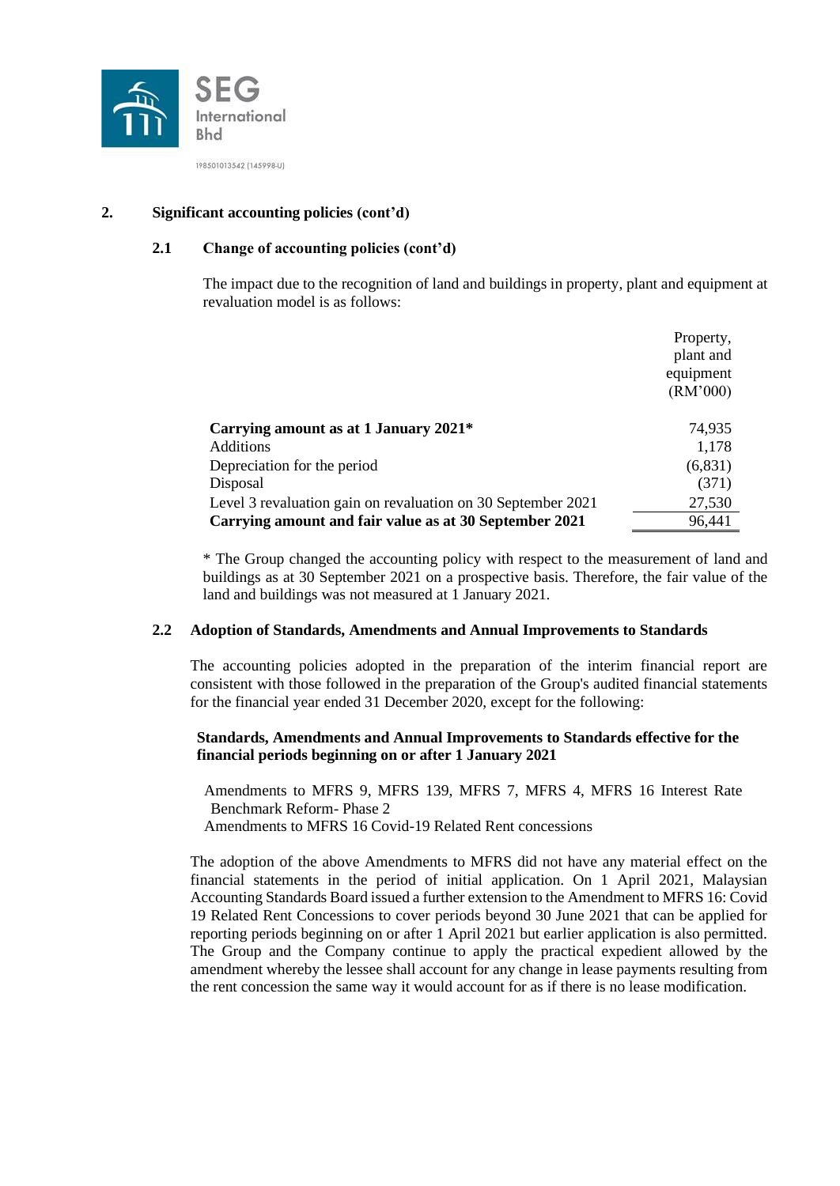

# **2. Significant accounting policies (cont'd)**

# **2.1 Change of accounting policies (cont'd)**

The impact due to the recognition of land and buildings in property, plant and equipment at revaluation model is as follows:

|                                                              | Property, |
|--------------------------------------------------------------|-----------|
|                                                              | plant and |
|                                                              | equipment |
|                                                              | (RM'000)  |
| Carrying amount as at 1 January 2021*                        | 74,935    |
| <b>Additions</b>                                             | 1,178     |
| Depreciation for the period                                  | (6,831)   |
| Disposal                                                     | (371)     |
| Level 3 revaluation gain on revaluation on 30 September 2021 | 27,530    |
| Carrying amount and fair value as at 30 September 2021       | 96,441    |

\* The Group changed the accounting policy with respect to the measurement of land and buildings as at 30 September 2021 on a prospective basis. Therefore, the fair value of the land and buildings was not measured at 1 January 2021.

#### **2.2 Adoption of Standards, Amendments and Annual Improvements to Standards**

The accounting policies adopted in the preparation of the interim financial report are consistent with those followed in the preparation of the Group's audited financial statements for the financial year ended 31 December 2020, except for the following:

# **Standards, Amendments and Annual Improvements to Standards effective for the financial periods beginning on or after 1 January 2021**

Amendments to MFRS 9, MFRS 139, MFRS 7, MFRS 4, MFRS 16 Interest Rate Benchmark Reform- Phase 2 Amendments to MFRS 16 Covid-19 Related Rent concessions

The adoption of the above Amendments to MFRS did not have any material effect on the financial statements in the period of initial application. On 1 April 2021, Malaysian Accounting Standards Board issued a further extension to the Amendment to MFRS 16: Covid 19 Related Rent Concessions to cover periods beyond 30 June 2021 that can be applied for reporting periods beginning on or after 1 April 2021 but earlier application is also permitted. The Group and the Company continue to apply the practical expedient allowed by the amendment whereby the lessee shall account for any change in lease payments resulting from the rent concession the same way it would account for as if there is no lease modification.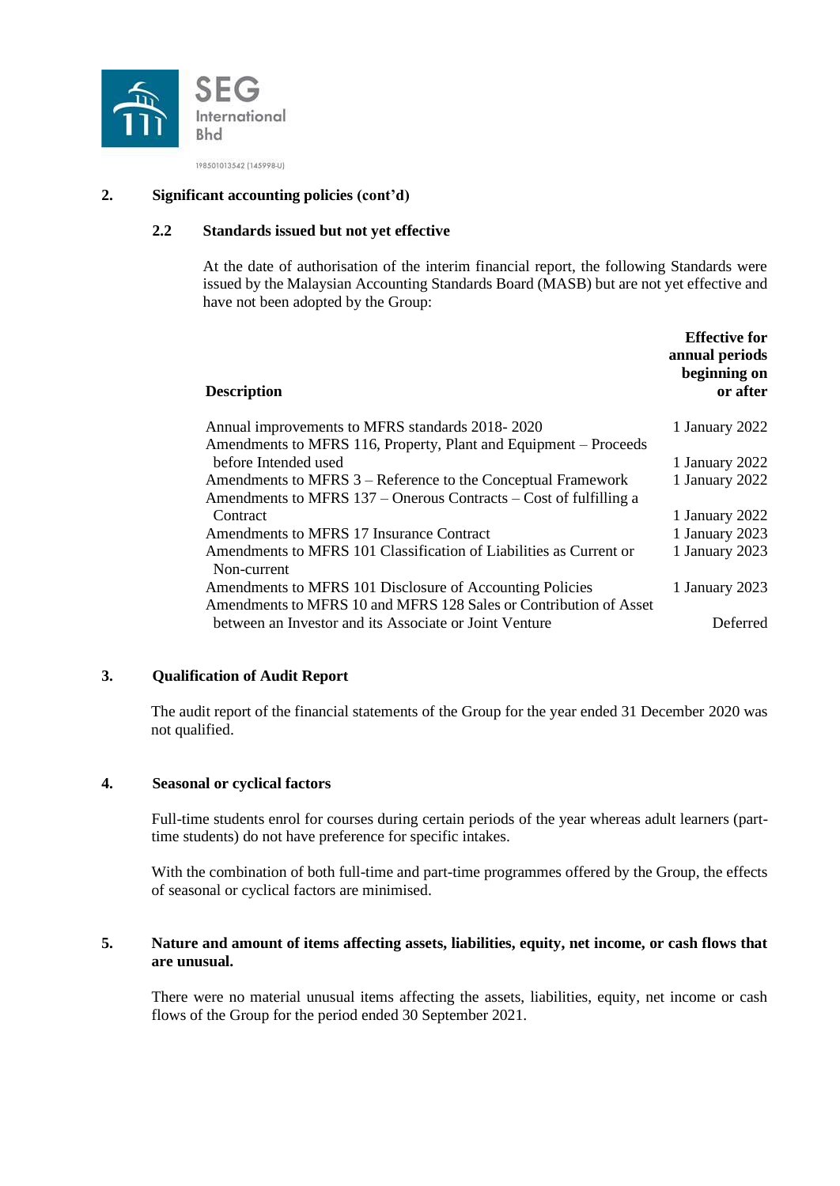

### **2. Significant accounting policies (cont'd)**

### **2.2 Standards issued but not yet effective**

At the date of authorisation of the interim financial report, the following Standards were issued by the Malaysian Accounting Standards Board (MASB) but are not yet effective and have not been adopted by the Group:

| <b>Description</b>                                                 | <b>Effective for</b><br>annual periods<br>beginning on<br>or after |
|--------------------------------------------------------------------|--------------------------------------------------------------------|
| Annual improvements to MFRS standards 2018-2020                    | 1 January 2022                                                     |
| Amendments to MFRS 116, Property, Plant and Equipment – Proceeds   |                                                                    |
| before Intended used                                               | 1 January 2022                                                     |
| Amendments to MFRS 3 – Reference to the Conceptual Framework       | 1 January 2022                                                     |
| Amendments to MFRS 137 – Onerous Contracts – Cost of fulfilling a  |                                                                    |
| Contract                                                           | 1 January 2022                                                     |
| Amendments to MFRS 17 Insurance Contract                           | 1 January 2023                                                     |
| Amendments to MFRS 101 Classification of Liabilities as Current or | 1 January 2023                                                     |
| Non-current                                                        |                                                                    |
| Amendments to MFRS 101 Disclosure of Accounting Policies           | 1 January 2023                                                     |
| Amendments to MFRS 10 and MFRS 128 Sales or Contribution of Asset  |                                                                    |
| between an Investor and its Associate or Joint Venture             | Deferred                                                           |

#### **3. Qualification of Audit Report**

The audit report of the financial statements of the Group for the year ended 31 December 2020 was not qualified.

#### **4. Seasonal or cyclical factors**

Full-time students enrol for courses during certain periods of the year whereas adult learners (parttime students) do not have preference for specific intakes.

With the combination of both full-time and part-time programmes offered by the Group, the effects of seasonal or cyclical factors are minimised.

#### **5. Nature and amount of items affecting assets, liabilities, equity, net income, or cash flows that are unusual.**

There were no material unusual items affecting the assets, liabilities, equity, net income or cash flows of the Group for the period ended 30 September 2021.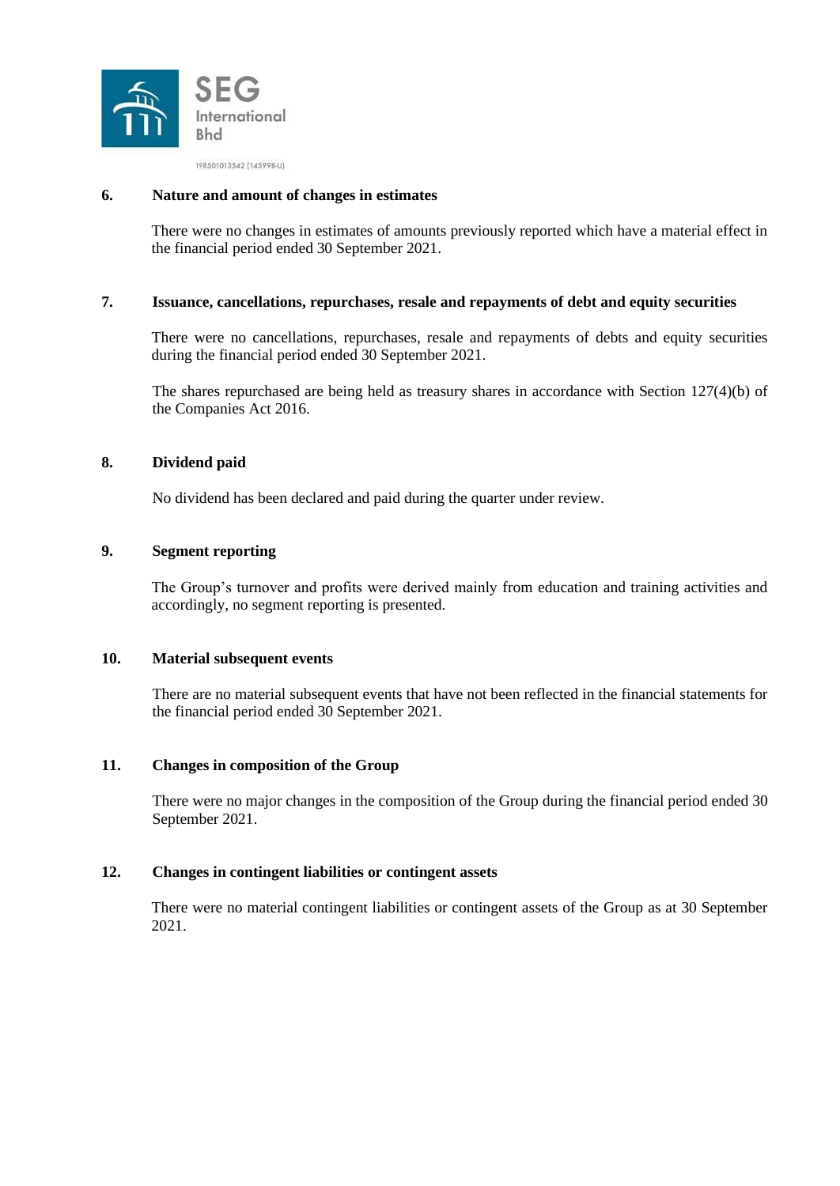

#### **6. Nature and amount of changes in estimates**

There were no changes in estimates of amounts previously reported which have a material effect in the financial period ended 30 September 2021.

### **7. Issuance, cancellations, repurchases, resale and repayments of debt and equity securities**

There were no cancellations, repurchases, resale and repayments of debts and equity securities during the financial period ended 30 September 2021.

The shares repurchased are being held as treasury shares in accordance with Section 127(4)(b) of the Companies Act 2016.

#### **8. Dividend paid**

No dividend has been declared and paid during the quarter under review.

# **9. Segment reporting**

The Group's turnover and profits were derived mainly from education and training activities and accordingly, no segment reporting is presented.

#### **10. Material subsequent events**

There are no material subsequent events that have not been reflected in the financial statements for the financial period ended 30 September 2021.

#### **11. Changes in composition of the Group**

There were no major changes in the composition of the Group during the financial period ended 30 September 2021.

### **12. Changes in contingent liabilities or contingent assets**

There were no material contingent liabilities or contingent assets of the Group as at 30 September 2021.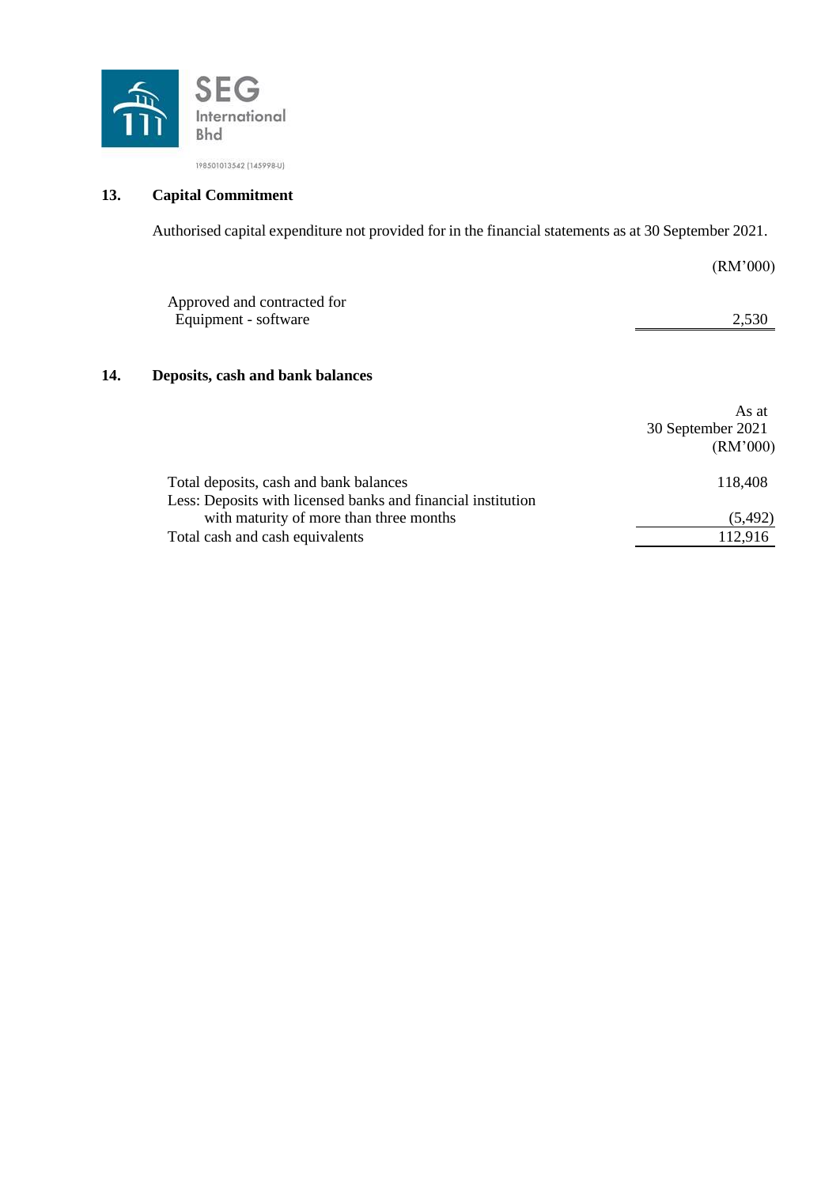

# **13. Capital Commitment**

Authorised capital expenditure not provided for in the financial statements as at 30 September 2021.

|     |                                                                                                        | (RM'000)                               |
|-----|--------------------------------------------------------------------------------------------------------|----------------------------------------|
|     | Approved and contracted for<br>Equipment - software                                                    | 2,530                                  |
| 14. | Deposits, cash and bank balances                                                                       |                                        |
|     |                                                                                                        | As at<br>30 September 2021<br>(RM'000) |
|     | Total deposits, cash and bank balances<br>Less: Deposits with licensed banks and financial institution | 118,408                                |
|     | with maturity of more than three months                                                                | (5, 492)                               |
|     | Total cash and cash equivalents                                                                        | 112,916                                |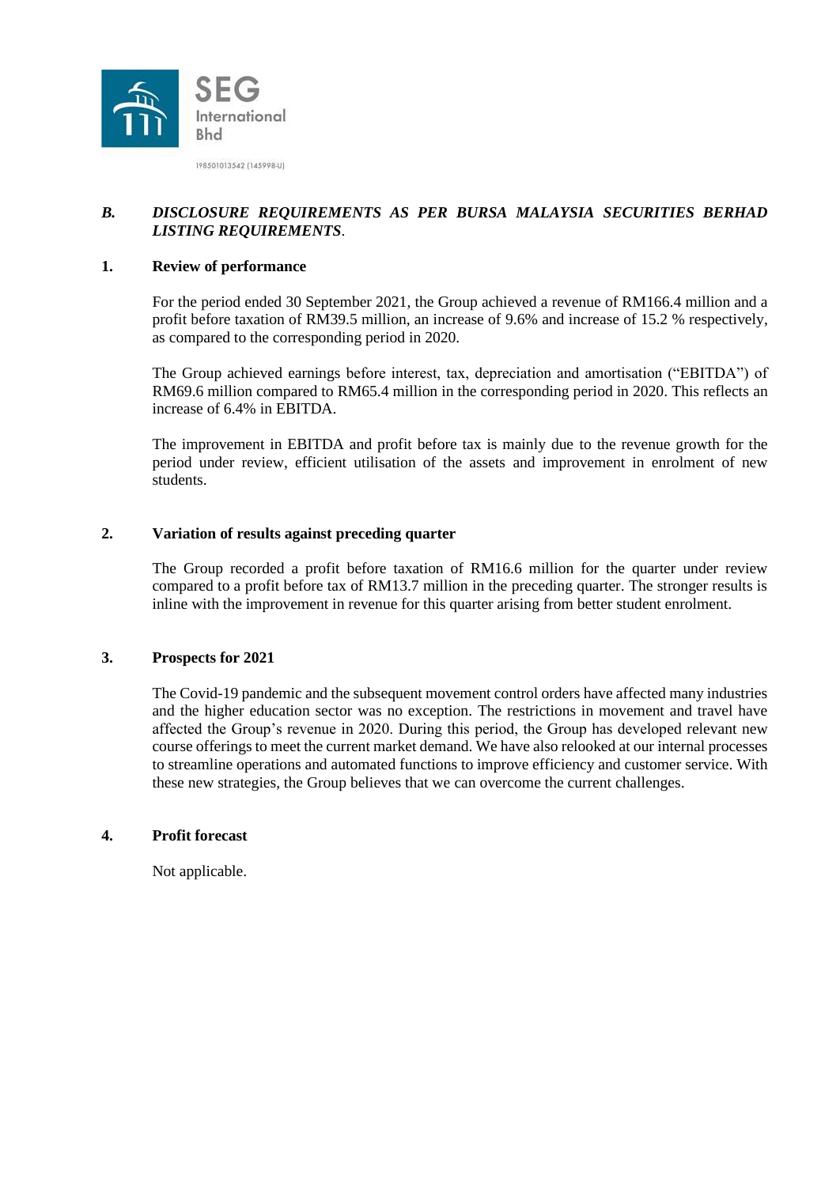

# *B. DISCLOSURE REQUIREMENTS AS PER BURSA MALAYSIA SECURITIES BERHAD LISTING REQUIREMENTS*.

# **1. Review of performance**

For the period ended 30 September 2021, the Group achieved a revenue of RM166.4 million and a profit before taxation of RM39.5 million, an increase of 9.6% and increase of 15.2 % respectively, as compared to the corresponding period in 2020.

The Group achieved earnings before interest, tax, depreciation and amortisation ("EBITDA") of RM69.6 million compared to RM65.4 million in the corresponding period in 2020. This reflects an increase of 6.4% in EBITDA.

The improvement in EBITDA and profit before tax is mainly due to the revenue growth for the period under review, efficient utilisation of the assets and improvement in enrolment of new students.

# **2. Variation of results against preceding quarter**

The Group recorded a profit before taxation of RM16.6 million for the quarter under review compared to a profit before tax of RM13.7 million in the preceding quarter. The stronger results is inline with the improvement in revenue for this quarter arising from better student enrolment.

#### **3. Prospects for 2021**

The Covid-19 pandemic and the subsequent movement control orders have affected many industries and the higher education sector was no exception. The restrictions in movement and travel have affected the Group's revenue in 2020. During this period, the Group has developed relevant new course offerings to meet the current market demand. We have also relooked at our internal processes to streamline operations and automated functions to improve efficiency and customer service. With these new strategies, the Group believes that we can overcome the current challenges.

#### **4. Profit forecast**

Not applicable.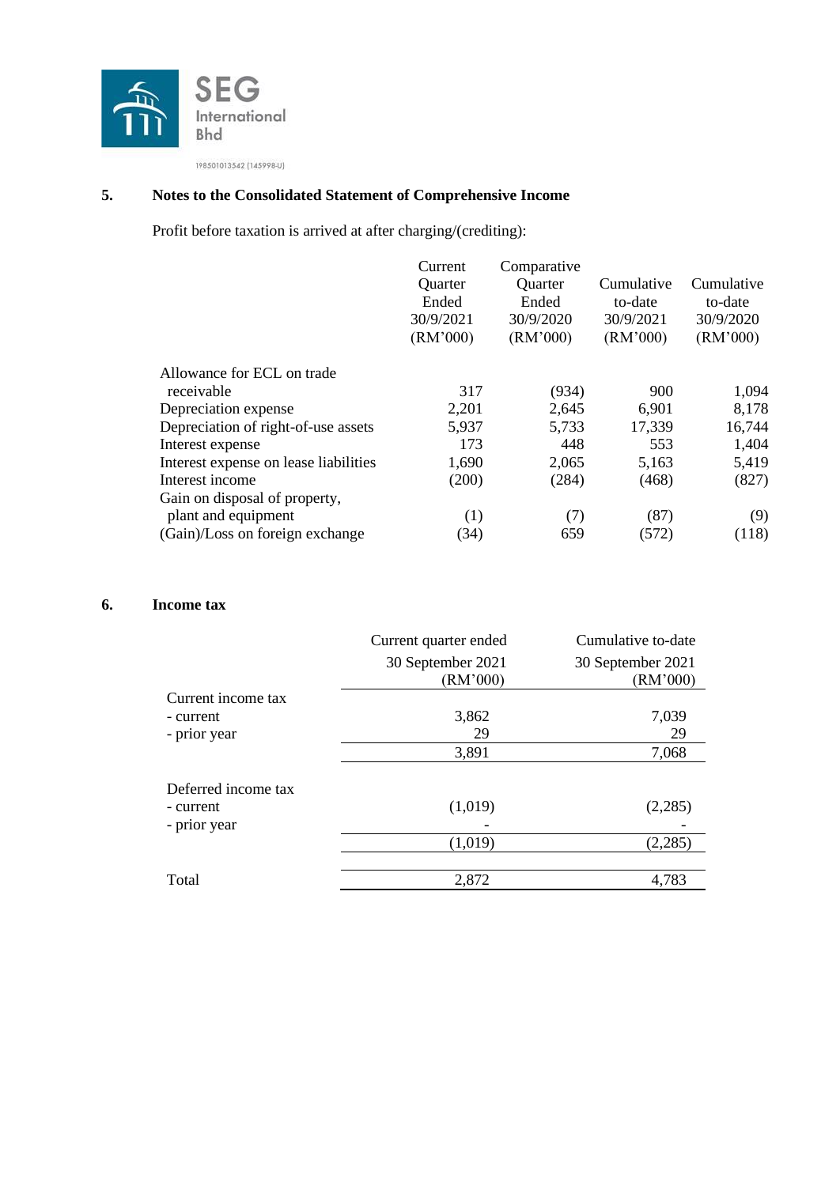

# **5. Notes to the Consolidated Statement of Comprehensive Income**

Profit before taxation is arrived at after charging/(crediting):

| Current   | Comparative |            |            |
|-----------|-------------|------------|------------|
| Quarter   | Quarter     | Cumulative | Cumulative |
| Ended     | Ended       | to-date    | to-date    |
| 30/9/2021 | 30/9/2020   | 30/9/2021  | 30/9/2020  |
| (RM'000)  | (RM'000)    | (RM'000)   | (RM'000)   |
|           |             |            |            |
| 317       | (934)       | 900        | 1,094      |
| 2,201     | 2,645       | 6,901      | 8,178      |
| 5,937     | 5,733       | 17,339     | 16,744     |
| 173       | 448         | 553        | 1,404      |
| 1,690     | 2,065       | 5,163      | 5,419      |
| (200)     | (284)       | (468)      | (827)      |
|           |             |            |            |
| (1)       | (7)         | (87)       | (9)        |
| (34)      | 659         | (572)      | (118)      |
|           |             |            |            |

# **6. Income tax**

|                     | Current quarter ended         | Cumulative to-date            |
|---------------------|-------------------------------|-------------------------------|
|                     | 30 September 2021<br>(RM'000) | 30 September 2021<br>(RM'000) |
| Current income tax  |                               |                               |
| - current           | 3,862                         | 7,039                         |
| - prior year        | 29                            | 29                            |
|                     | 3,891                         | 7,068                         |
| Deferred income tax |                               |                               |
| - current           | (1,019)                       | (2,285)                       |
| - prior year        |                               |                               |
|                     | (1,019)                       | (2,285)                       |
| Total               | 2,872                         | 4,783                         |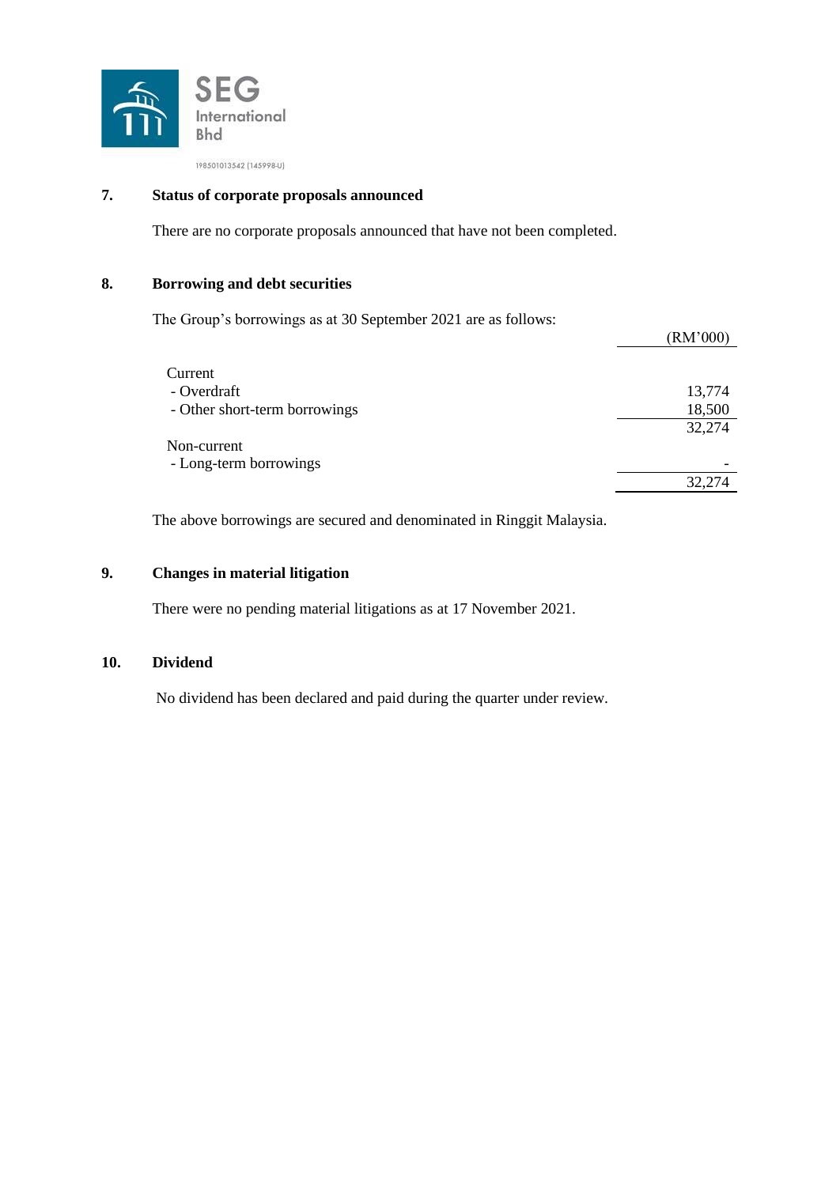

# **7. Status of corporate proposals announced**

There are no corporate proposals announced that have not been completed.

# **8. Borrowing and debt securities**

The Group's borrowings as at 30 September 2021 are as follows:

|                               | LUM VUU J |
|-------------------------------|-----------|
|                               |           |
| Current                       |           |
| - Overdraft                   | 13,774    |
| - Other short-term borrowings | 18,500    |
|                               | 32,274    |
| Non-current                   |           |
| - Long-term borrowings        |           |
|                               | 32,274    |
|                               |           |

 $(DM'000)$ 

The above borrowings are secured and denominated in Ringgit Malaysia.

# **9. Changes in material litigation**

There were no pending material litigations as at 17 November 2021.

#### **10. Dividend**

No dividend has been declared and paid during the quarter under review.